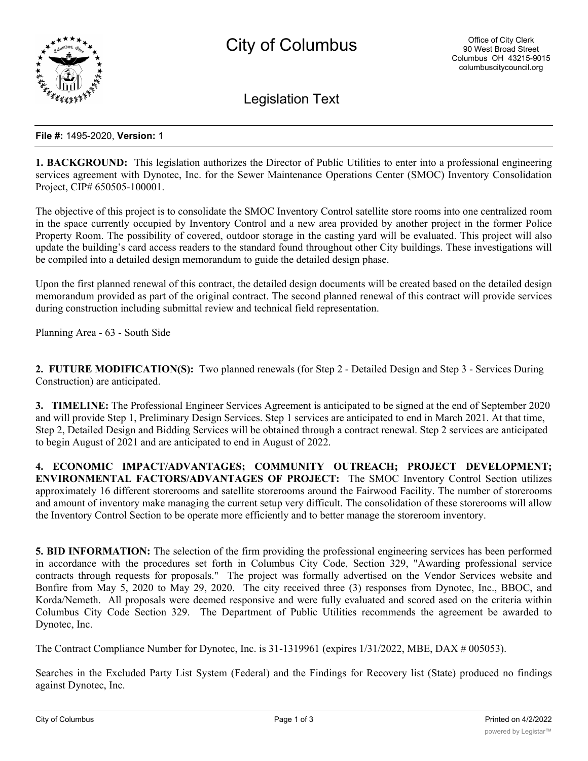

Legislation Text

## **File #:** 1495-2020, **Version:** 1

**1. BACKGROUND:** This legislation authorizes the Director of Public Utilities to enter into a professional engineering services agreement with Dynotec, Inc. for the Sewer Maintenance Operations Center (SMOC) Inventory Consolidation Project, CIP# 650505-100001.

The objective of this project is to consolidate the SMOC Inventory Control satellite store rooms into one centralized room in the space currently occupied by Inventory Control and a new area provided by another project in the former Police Property Room. The possibility of covered, outdoor storage in the casting yard will be evaluated. This project will also update the building's card access readers to the standard found throughout other City buildings. These investigations will be compiled into a detailed design memorandum to guide the detailed design phase.

Upon the first planned renewal of this contract, the detailed design documents will be created based on the detailed design memorandum provided as part of the original contract. The second planned renewal of this contract will provide services during construction including submittal review and technical field representation.

Planning Area - 63 - South Side

**2. FUTURE MODIFICATION(S):** Two planned renewals (for Step 2 - Detailed Design and Step 3 - Services During Construction) are anticipated.

**3. TIMELINE:** The Professional Engineer Services Agreement is anticipated to be signed at the end of September 2020 and will provide Step 1, Preliminary Design Services. Step 1 services are anticipated to end in March 2021. At that time, Step 2, Detailed Design and Bidding Services will be obtained through a contract renewal. Step 2 services are anticipated to begin August of 2021 and are anticipated to end in August of 2022.

**4. ECONOMIC IMPACT/ADVANTAGES; COMMUNITY OUTREACH; PROJECT DEVELOPMENT; ENVIRONMENTAL FACTORS/ADVANTAGES OF PROJECT:** The SMOC Inventory Control Section utilizes approximately 16 different storerooms and satellite storerooms around the Fairwood Facility. The number of storerooms and amount of inventory make managing the current setup very difficult. The consolidation of these storerooms will allow the Inventory Control Section to be operate more efficiently and to better manage the storeroom inventory.

**5. BID INFORMATION:** The selection of the firm providing the professional engineering services has been performed in accordance with the procedures set forth in Columbus City Code, Section 329, "Awarding professional service contracts through requests for proposals." The project was formally advertised on the Vendor Services website and Bonfire from May 5, 2020 to May 29, 2020. The city received three (3) responses from Dynotec, Inc., BBOC, and Korda/Nemeth. All proposals were deemed responsive and were fully evaluated and scored ased on the criteria within Columbus City Code Section 329. The Department of Public Utilities recommends the agreement be awarded to Dynotec, Inc.

The Contract Compliance Number for Dynotec, Inc. is 31-1319961 (expires 1/31/2022, MBE, DAX # 005053).

Searches in the Excluded Party List System (Federal) and the Findings for Recovery list (State) produced no findings against Dynotec, Inc.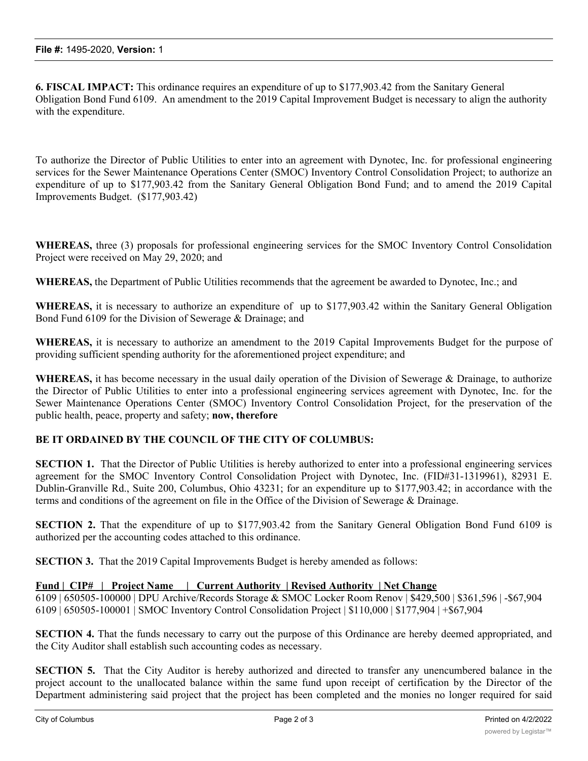**6. FISCAL IMPACT:** This ordinance requires an expenditure of up to \$177,903.42 from the Sanitary General Obligation Bond Fund 6109. An amendment to the 2019 Capital Improvement Budget is necessary to align the authority with the expenditure.

To authorize the Director of Public Utilities to enter into an agreement with Dynotec, Inc. for professional engineering services for the Sewer Maintenance Operations Center (SMOC) Inventory Control Consolidation Project; to authorize an expenditure of up to \$177,903.42 from the Sanitary General Obligation Bond Fund; and to amend the 2019 Capital Improvements Budget. (\$177,903.42)

**WHEREAS,** three (3) proposals for professional engineering services for the SMOC Inventory Control Consolidation Project were received on May 29, 2020; and

**WHEREAS,** the Department of Public Utilities recommends that the agreement be awarded to Dynotec, Inc.; and

**WHEREAS,** it is necessary to authorize an expenditure of up to \$177,903.42 within the Sanitary General Obligation Bond Fund 6109 for the Division of Sewerage & Drainage; and

**WHEREAS,** it is necessary to authorize an amendment to the 2019 Capital Improvements Budget for the purpose of providing sufficient spending authority for the aforementioned project expenditure; and

**WHEREAS,** it has become necessary in the usual daily operation of the Division of Sewerage & Drainage, to authorize the Director of Public Utilities to enter into a professional engineering services agreement with Dynotec, Inc. for the Sewer Maintenance Operations Center (SMOC) Inventory Control Consolidation Project, for the preservation of the public health, peace, property and safety; **now, therefore**

## **BE IT ORDAINED BY THE COUNCIL OF THE CITY OF COLUMBUS:**

**SECTION 1.** That the Director of Public Utilities is hereby authorized to enter into a professional engineering services agreement for the SMOC Inventory Control Consolidation Project with Dynotec, Inc. (FID#31-1319961), 82931 E. Dublin-Granville Rd., Suite 200, Columbus, Ohio 43231; for an expenditure up to \$177,903.42; in accordance with the terms and conditions of the agreement on file in the Office of the Division of Sewerage & Drainage.

**SECTION 2.** That the expenditure of up to \$177,903.42 from the Sanitary General Obligation Bond Fund 6109 is authorized per the accounting codes attached to this ordinance.

**SECTION 3.** That the 2019 Capital Improvements Budget is hereby amended as follows:

## **Fund | CIP# | Project Name | Current Authority | Revised Authority | Net Change**

6109 | 650505-100000 | DPU Archive/Records Storage & SMOC Locker Room Renov | \$429,500 | \$361,596 | -\$67,904 6109 | 650505-100001 | SMOC Inventory Control Consolidation Project | \$110,000 | \$177,904 | +\$67,904

**SECTION 4.** That the funds necessary to carry out the purpose of this Ordinance are hereby deemed appropriated, and the City Auditor shall establish such accounting codes as necessary.

**SECTION 5.** That the City Auditor is hereby authorized and directed to transfer any unencumbered balance in the project account to the unallocated balance within the same fund upon receipt of certification by the Director of the Department administering said project that the project has been completed and the monies no longer required for said